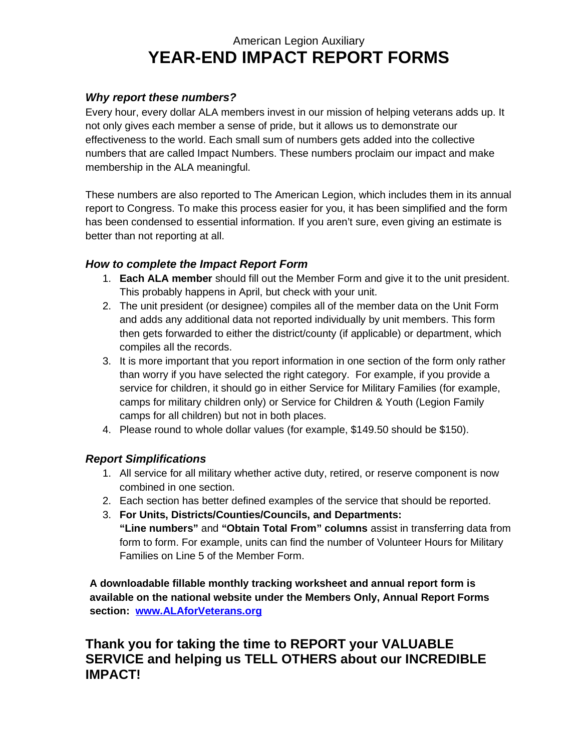## American Legion Auxiliary YEAR-END IMPACT REPORT FORMS

## Why report these numbers?

Every hour, every dollar ALA members invest in our mission of helping veterans adds up. It not only gives each member a sense of pride, but it allows us to demonstrate our effectiveness to the world. Each small sum of numbers gets added into the collective numbers that are called Impact Numbers. These numbers proclaim our impact and make membership in the ALA meaningful.

These numbers are also reported to The American Legion, which includes them in its annual report to Congress. To make this process easier for you, it has been simplified and the form has been condensed to essential information. If you aren't sure, even giving an estimate is better than not reporting at all.

## How to complete the Impact Report Form

- 1. Each ALA member should fill out the Member Form and give it to the unit president. This probably happens in April, but check with your unit.
- 2. The unit president (or designee) compiles all of the member data on the Unit Form and adds any additional data not reported individually by unit members. This form then gets forwarded to either the district/county (if applicable) or department, which compiles all the records.
- 3. It is more important that you report information in one section of the form only rather than worry if you have selected the right category. For example, if you provide a service for children, it should go in either Service for Military Families (for example, camps for military children only) or Service for Children & Youth (Legion Family camps for all children) but not in both places.
- 4. Please round to whole dollar values (for example, \$149.50 should be \$150).

## Report Simplifications

- 1. All service for all military whether active duty, retired, or reserve component is now combined in one section.
- 2. Each section has better defined examples of the service that should be reported.
- 3. For Units, Districts/Counties/Councils, and Departments: "Line numbers" and "Obtain Total From" columns assist in transferring data from form to form. For example, units can find the number of Volunteer Hours for Military Families on Line 5 of the Member Form.

A downloadable fillable monthly tracking worksheet and annual report form is available on the national website under the Members Only, Annual Report Forms section: www.ALAforVeterans.org

## Thank you for taking the time to REPORT your VALUABLE SERVICE and helping us TELL OTHERS about our INCREDIBLE IMPACT!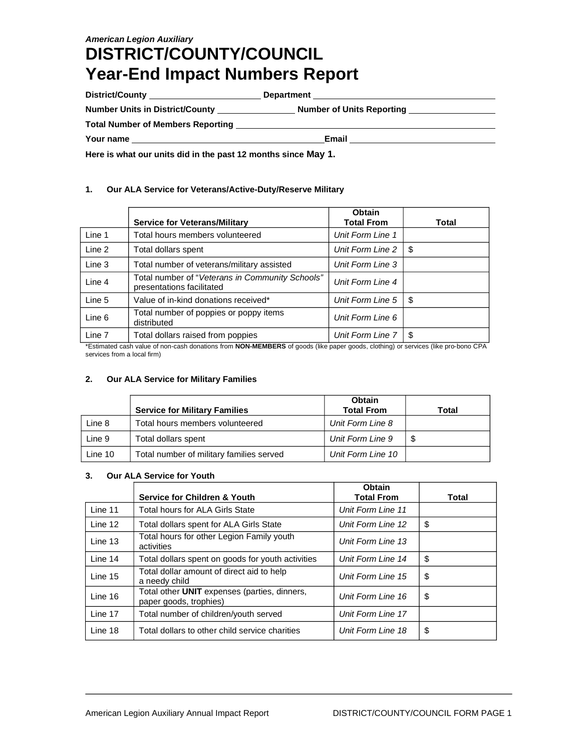# DISTRICT/COUNTY/COUNCIL Year-End Impact Numbers Report

| District/County <b>District</b>          | Department<br><u> 1980 - Jan James Sammer, mars and de la population de la population de la population de la population de la p</u> |
|------------------------------------------|-------------------------------------------------------------------------------------------------------------------------------------|
| Number Units in District/County          | Number of Units Reporting                                                                                                           |
| <b>Total Number of Members Reporting</b> |                                                                                                                                     |
| Your name                                | Email                                                                                                                               |

Here is what our units did in the past 12 months since May 1.

#### 1. Our ALA Service for Veterans/Active-Duty/Reserve Military

|        | Service for Veterans/Military                                                | Obtain<br><b>Total From</b> | <b>Total</b> |  |
|--------|------------------------------------------------------------------------------|-----------------------------|--------------|--|
| Line 1 | Total hours members volunteered                                              | Unit Form Line 1            |              |  |
| Line 2 | Total dollars spent                                                          | Unit Form Line 2            | l \$         |  |
| Line 3 | Total number of veterans/military assisted                                   | Unit Form Line 3            |              |  |
| Line 4 | Total number of "Veterans in Community Schools"<br>presentations facilitated | Unit Form Line 4            |              |  |
| Line 5 | Value of in-kind donations received*                                         | Unit Form Line 5            | ∣\$          |  |
| Line 6 | Total number of poppies or poppy items<br>distributed                        | Unit Form Line 6            |              |  |
| Line 7 | Total dollars raised from poppies                                            | Unit Form Line 7            | - \$         |  |

\*Estimated cash value of non-cash donations from NON-MEMBERS of goods (like paper goods, clothing) or services (like pro-bono CPA services from a local firm)

#### 2. Our ALA Service for Military Families

|         |                                          | <b>Obtain</b>           |       |
|---------|------------------------------------------|-------------------------|-------|
|         | <b>Service for Military Families</b>     | <b>Total From</b>       | Total |
| Line 8  | Total hours members volunteered          | <b>Unit Form Line 8</b> |       |
| Line 9  | Total dollars spent                      | <b>Unit Form Line 9</b> | -\$   |
| Line 10 | Total number of military families served | Unit Form Line 10       |       |

#### 3. Our ALA Service for Youth

|           | <b>Service for Children &amp; Youth</b>                                      | <b>Obtain</b><br><b>Total From</b> | Total |
|-----------|------------------------------------------------------------------------------|------------------------------------|-------|
| Line 11   | Total hours for ALA Girls State                                              | Unit Form Line 11                  |       |
| Line 12   | Total dollars spent for ALA Girls State                                      | Unit Form Line 12                  | \$    |
| Line 13   | Total hours for other Legion Family youth<br>Unit Form Line 13<br>activities |                                    |       |
| Line $14$ | Total dollars spent on goods for youth activities                            | Unit Form Line 14                  | \$    |
| Line 15   | Total dollar amount of direct aid to help<br>a needy child                   | Unit Form Line 15                  | \$    |
| Line 16   | Total other UNIT expenses (parties, dinners,<br>paper goods, trophies)       | Unit Form Line 16                  | \$    |
| Line 17   | Total number of children/youth served                                        | Unit Form Line 17                  |       |
| Line 18   | Total dollars to other child service charities                               | Unit Form Line 18                  | \$    |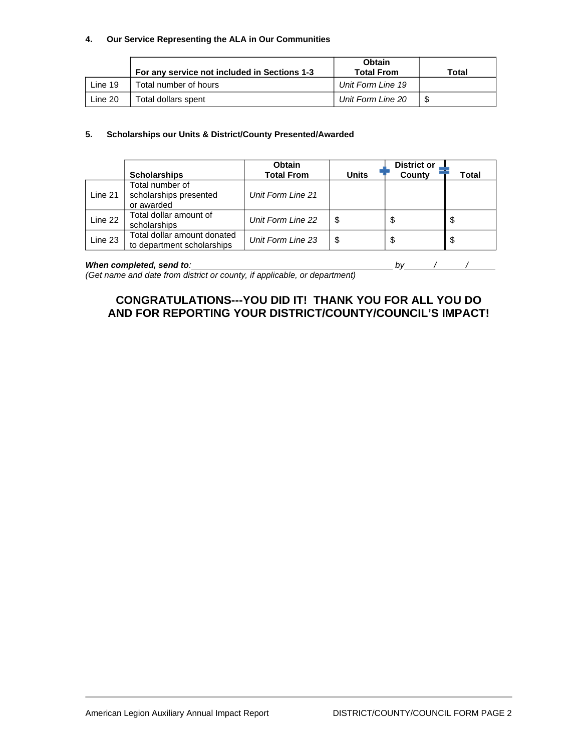#### 4. Our Service Representing the ALA in Our Communities

|         | For any service not included in Sections 1-3 | Obtain<br><b>Total From</b> | Total |
|---------|----------------------------------------------|-----------------------------|-------|
| Line 19 | Total number of hours                        | <b>Unit Form Line 19</b>    |       |
| Line 20 | Total dollars spent                          | <b>Unit Form Line 20</b>    | \$    |

#### 5. Scholarships our Units & District/County Presented/Awarded

|         | <b>Scholarships</b>                                       | <b>Obtain</b><br><b>Total From</b> | <b>Units</b> | <b>District or</b><br>County | Total |
|---------|-----------------------------------------------------------|------------------------------------|--------------|------------------------------|-------|
| Line 21 | Total number of<br>scholarships presented<br>or awarded   | Unit Form Line 21                  |              |                              |       |
| Line 22 | Total dollar amount of<br>scholarships                    | Unit Form Line 22                  | \$           | \$                           | \$    |
| Line 23 | Total dollar amount donated<br>to department scholarships | Unit Form Line 23                  | \$           | \$                           | \$    |

#### When completed, send to:  $b$  /  $b$  /  $b$  /  $c$  /  $d$  /  $d$  /  $d$  /  $d$  /  $d$  /  $d$  /  $d$  /  $d$  /  $d$  /  $d$  /  $d$  /  $d$  /  $d$  /  $d$  /  $d$  /  $d$  /  $d$  /  $d$  /  $d$  /  $d$  /  $d$  /  $d$  /  $d$  /  $d$  /  $d$  /  $d$  /  $d$  /  $d$  /  $d$

(Get name and date from district or county, if applicable, or department)

CONGRATULATIONS---YOU DID IT! THANK YOU FOR ALL YOU DO AND FOR REPORTING YOUR DISTRICT/COUNTY/COUNCIL'S IMPACT!